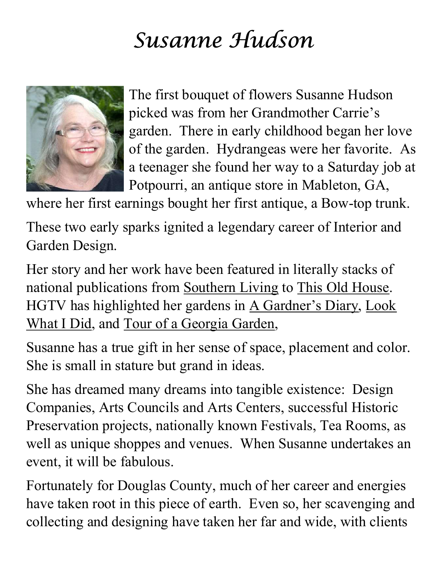## Susanne Hudson



The first bouquet of flowers Susanne Hudson picked was from her Grandmother Carrie's garden. There in early childhood began her love of the garden. Hydrangeas were her favorite. As a teenager she found her way to a Saturday job at Potpourri, an antique store in Mableton, GA,

where her first earnings bought her first antique, a Bow-top trunk.

These two early sparks ignited a legendary career of Interior and Garden Design.

Her story and her work have been featured in literally stacks of national publications from Southern Living to This Old House. HGTV has highlighted her gardens in A Gardner's Diary, Look What I Did, and Tour of a Georgia Garden,

Susanne has a true gift in her sense of space, placement and color. She is small in stature but grand in ideas.

She has dreamed many dreams into tangible existence: Design Companies, Arts Councils and Arts Centers, successful Historic Preservation projects, nationally known Festivals, Tea Rooms, as well as unique shoppes and venues. When Susanne undertakes an event, it will be fabulous.

Fortunately for Douglas County, much of her career and energies have taken root in this piece of earth. Even so, her scavenging and collecting and designing have taken her far and wide, with clients